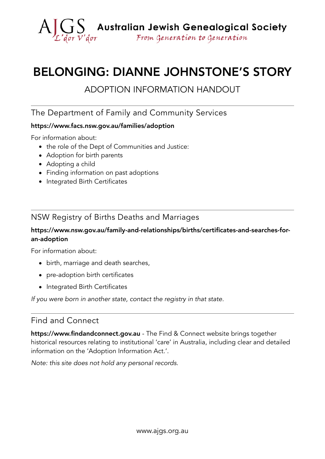

# BELONGING: DIANNE JOHNSTONE'S STORY

# ADOPTION INFORMATION HANDOUT

#### The Department of Family and Community Services

#### [https://www.facs.nsw.gov.au/families/adoption](http://www.facs.nsw.gov.au/families/adoption/finding-info)

For information about:

- the role of the Dept of Communities and Justice:
- Adoption for birth parents
- Adopting a child
- Finding information on past adoptions
- Integrated Birth Certificates

#### NSW Registry of Births Deaths and Marriages

#### [https://www.nsw.gov.au/family-and-relationships/births/certificates-and-searches-for](https://www.nsw.gov.au/family-and-relationships/births/certificates-and-searches-for-an-adoption)[an-adoption](https://www.nsw.gov.au/family-and-relationships/births/certificates-and-searches-for-an-adoption)

For information about:

- birth, marriage and death searches,
- pre-adoption birth certificates
- Integrated Birth Certificates

*If you were born in another state, contact the registry in that state.*

## Find and Connect

<https://www.findandconnect.gov.au> - The Find & Connect website brings together historical resources relating to institutional 'care' in Australia, including clear and detailed information on the 'Adoption Information Act.'.

*Note: this site does not hold any personal records.*